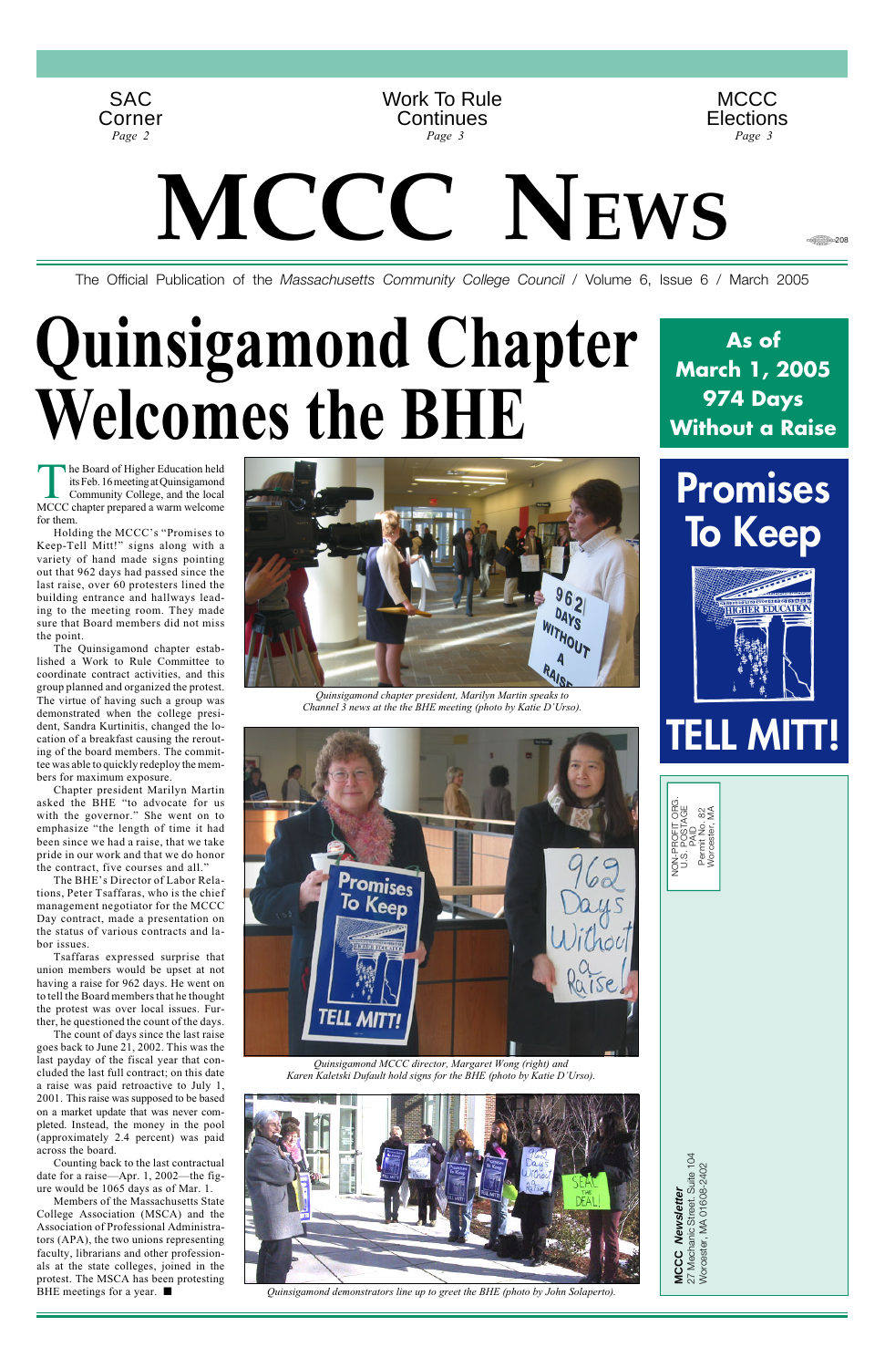The Official Publication of the *Massachusetts Community College Council* / Volume 6, Issue 6 / March 2005

MCCC Newsletter<br>27 Mechanic Street. Suite 104<br>Worcester, MA 01608-2402 27 Mechanic Street. Suite 104 Worcester, MA 01608-2402 **MCCC Newsletter**

NON-PROFIT ORG. U.S. POSTAGE PAID Permit No. 82 Worcester, MA



The Board of Higher Education held<br>its Feb. 16 meeting at Quinsigamond<br>Community College, and the local<br>MCCC chanter prepared a warm welcome its Feb. 16 meeting at Quinsigamond Community College, and the local MCCC chapter prepared a warm welcome for them.

# **Quinsigamond Chapter Welcomes the BHE**

Holding the MCCC's "Promises to Keep-Tell Mitt!" signs along with a variety of hand made signs pointing out that 962 days had passed since the last raise, over 60 protesters lined the building entrance and hallways leading to the meeting room. They made sure that Board members did not miss the point.

The Quinsigamond chapter established a Work to Rule Committee to coordinate contract activities, and this group planned and organized the protest. The virtue of having such a group was demonstrated when the college president, Sandra Kurtinitis, changed the location of a breakfast causing the rerouting of the board members. The committee was able to quickly redeploy the members for maximum exposure.

Chapter president Marilyn Martin asked the BHE "to advocate for us with the governor." She went on to emphasize "the length of time it had been since we had a raise, that we take pride in our work and that we do honor the contract, five courses and all."

The BHE's Director of Labor Relations, Peter Tsaffaras, who is the chief management negotiator for the MCCC Day contract, made a presentation on the status of various contracts and labor issues.

Tsaffaras expressed surprise that union members would be upset at not having a raise for 962 days. He went on to tell the Board members that he thought

the protest was over local issues. Further, he questioned the count of the days.

The count of days since the last raise goes back to June 21, 2002. This was the last payday of the fiscal year that concluded the last full contract; on this date a raise was paid retroactive to July 1, 2001. This raise was supposed to be based on a market update that was never completed. Instead, the money in the pool (approximately 2.4 percent) was paid across the board.

Counting back to the last contractual date for a raise—Apr. 1, 2002—the figure would be 1065 days as of Mar. 1.

Members of the Massachusetts State College Association (MSCA) and the Association of Professional Administrators (APA), the two unions representing faculty, librarians and other professionals at the state colleges, joined in the protest. The MSCA has been protesting



BHE meetings for a year. ■ *Quinsigamond demonstrators line up to greet the BHE (photo by John Solaperto).*



*Quinsigamond chapter president, Marilyn Martin speaks to Channel 3 news at the the BHE meeting (photo by Katie D'Urso).*



**Promises To Keep**



**TELL MITT!**

**As of March 1, 2005 974 Days Without a Raise**

· 208

*Quinsigamond MCCC director, Margaret Wong (right) and Karen Kaletski Dufault hold signs for the BHE (photo by Katie D'Urso).*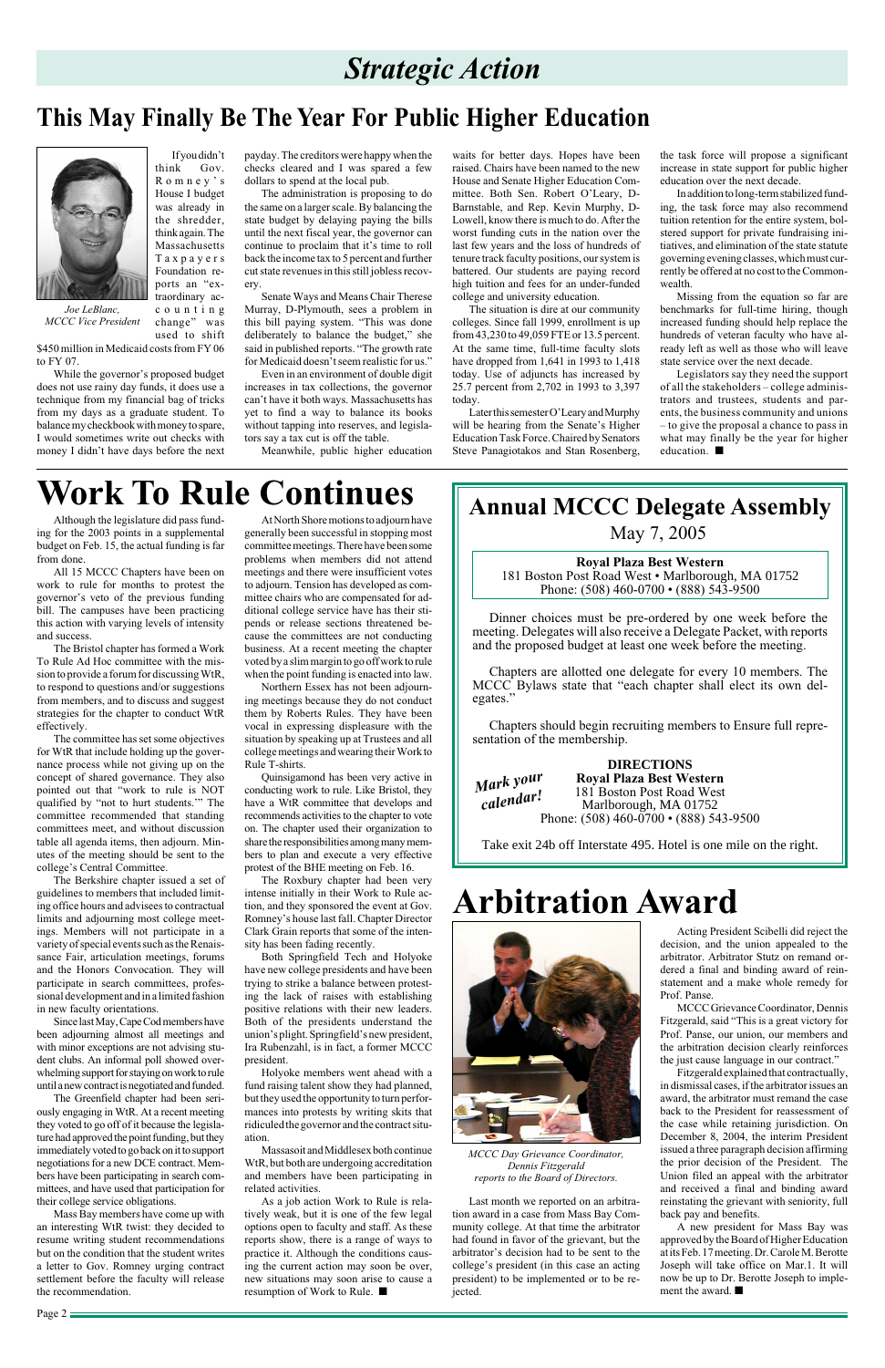# *Strategic Action*

### **This May Finally Be The Year For Public Higher Education**



*Joe LeBlanc, MCCC Vice President*

If you didn't think Gov. Romney's House I budget was already in the shredder, think again. The Massachusetts Taxpayers Foundation reports an "ex-

traordinary accounting change" was

used to shift \$450 million in Medicaid costs from FY 06 to FY 07.

While the governor's proposed budget does not use rainy day funds, it does use a technique from my financial bag of tricks from my days as a graduate student. To balance my checkbook with money to spare, I would sometimes write out checks with money I didn't have days before the next payday. The creditors were happy when the checks cleared and I was spared a few dollars to spend at the local pub.

The administration is proposing to do the same on a larger scale. By balancing the state budget by delaying paying the bills until the next fiscal year, the governor can continue to proclaim that it's time to roll back the income tax to 5 percent and further cut state revenues in this still jobless recovery.

Senate Ways and Means Chair Therese Murray, D-Plymouth, sees a problem in this bill paying system. "This was done deliberately to balance the budget," she said in published reports. "The growth rate for Medicaid doesn't seem realistic for us."

Even in an environment of double digit increases in tax collections, the governor can't have it both ways. Massachusetts has yet to find a way to balance its books without tapping into reserves, and legislators say a tax cut is off the table.

Meanwhile, public higher education

waits for better days. Hopes have been raised. Chairs have been named to the new House and Senate Higher Education Committee. Both Sen. Robert O'Leary, D-Barnstable, and Rep. Kevin Murphy, D-Lowell, know there is much to do. After the worst funding cuts in the nation over the last few years and the loss of hundreds of tenure track faculty positions, our system is battered. Our students are paying record high tuition and fees for an under-funded college and university education.

The situation is dire at our community colleges. Since fall 1999, enrollment is up from 43,230 to 49,059 FTE or 13.5 percent. At the same time, full-time faculty slots have dropped from 1,641 in 1993 to 1,418 today. Use of adjuncts has increased by 25.7 percent from 2,702 in 1993 to 3,397 today.

Later this semester O'Leary and Murphy will be hearing from the Senate's Higher Education Task Force. Chaired by Senators Steve Panagiotakos and Stan Rosenberg, the task force will propose a significant increase in state support for public higher education over the next decade.

In addition to long-term stabilized funding, the task force may also recommend tuition retention for the entire system, bolstered support for private fundraising initiatives, and elimination of the state statute governing evening classes, which must currently be offered at no cost to the Commonwealth.

Missing from the equation so far are benchmarks for full-time hiring, though increased funding should help replace the hundreds of veteran faculty who have already left as well as those who will leave state service over the next decade.

Legislators say they need the support of all the stakeholders – college administrators and trustees, students and parents, the business community and unions – to give the proposal a chance to pass in what may finally be the year for higher education. ■

Although the legislature did pass funding for the 2003 points in a supplemental budget on Feb. 15, the actual funding is far from done.

All 15 MCCC Chapters have been on work to rule for months to protest the governor's veto of the previous funding bill. The campuses have been practicing this action with varying levels of intensity and success.

The Bristol chapter has formed a Work To Rule Ad Hoc committee with the mission to provide a forum for discussing WtR, to respond to questions and/or suggestions from members, and to discuss and suggest strategies for the chapter to conduct WtR effectively.

The committee has set some objectives for WtR that include holding up the governance process while not giving up on the concept of shared governance. They also pointed out that "work to rule is NOT qualified by "not to hurt students.'" The committee recommended that standing committees meet, and without discussion table all agenda items, then adjourn. Minutes of the meeting should be sent to the college's Central Committee.

The Berkshire chapter issued a set of guidelines to members that included limiting office hours and advisees to contractual limits and adjourning most college meetings. Members will not participate in a variety of special events such as the Renaissance Fair, articulation meetings, forums and the Honors Convocation. They will participate in search committees, professional development and in a limited fashion

in new faculty orientations.

Since last May, Cape Cod members have been adjourning almost all meetings and with minor exceptions are not advising student clubs. An informal poll showed overwhelming support for staying on work to rule until a new contract is negotiated and funded.

**DIRECTIONS Royal Plaza Best Western** 181 Boston Post Road West Marlborough, MA 01752 Phone: (508) 460-0700 • (888) 543-9500

**Royal Plaza Best Western** 181 Boston Post Road West • Marlborough, MA 01752 Phone: (508) 460-0700 • (888) 543-9500

The Greenfield chapter had been seriously engaging in WtR. At a recent meeting they voted to go off of it because the legislature had approved the point funding, but they immediately voted to go back on it to support negotiations for a new DCE contract. Members have been participating in search committees, and have used that participation for their college service obligations.

Mass Bay members have come up with an interesting WtR twist: they decided to resume writing student recommendations but on the condition that the student writes a letter to Gov. Romney urging contract settlement before the faculty will release the recommendation.

At North Shore motions to adjourn have generally been successful in stopping most committee meetings. There have been some problems when members did not attend meetings and there were insufficient votes to adjourn. Tension has developed as committee chairs who are compensated for additional college service have has their stipends or release sections threatened because the committees are not conducting business. At a recent meeting the chapter voted by a slim margin to go off work to rule when the point funding is enacted into law.

Northern Essex has not been adjourning meetings because they do not conduct them by Roberts Rules. They have been vocal in expressing displeasure with the situation by speaking up at Trustees and all college meetings and wearing their Work to Rule T-shirts.

Quinsigamond has been very active in conducting work to rule. Like Bristol, they have a WtR committee that develops and recommends activities to the chapter to vote on. The chapter used their organization to share the responsibilities among many members to plan and execute a very effective protest of the BHE meeting on Feb. 16.

The Roxbury chapter had been very intense initially in their Work to Rule action, and they sponsored the event at Gov. Romney's house last fall. Chapter Director Clark Grain reports that some of the intensity has been fading recently.

Both Springfield Tech and Holyoke have new college presidents and have been trying to strike a balance between protesting the lack of raises with establishing positive relations with their new leaders. Both of the presidents understand the union's plight. Springfield's new president, Ira Rubenzahl, is in fact, a former MCCC president.

Holyoke members went ahead with a fund raising talent show they had planned, but they used the opportunity to turn performances into protests by writing skits that ridiculed the governor and the contract situation.

Massasoit and Middlesex both continue WtR, but both are undergoing accreditation and members have been participating in related activities.

As a job action Work to Rule is relatively weak, but it is one of the few legal options open to faculty and staff. As these reports show, there is a range of ways to practice it. Although the conditions causing the current action may soon be over, new situations may soon arise to cause a resumption of Work to Rule. ■

# **Work To Rule Continues**

Last month we reported on an arbitration award in a case from Mass Bay Community college. At that time the arbitrator had found in favor of the grievant, but the arbitrator's decision had to be sent to the college's president (in this case an acting president) to be implemented or to be rejected.

*MCCC Day Grievance Coordinator, Dennis Fitzgerald reports to the Board of Directors.*

# **Arbitration Award**



Acting President Scibelli did reject the decision, and the union appealed to the arbitrator. Arbitrator Stutz on remand ordered a final and binding award of reinstatement and a make whole remedy for Prof. Panse.

MCCC Grievance Coordinator, Dennis Fitzgerald, said "This is a great victory for Prof. Panse, our union, our members and the arbitration decision clearly reinforces the just cause language in our contract."

Fitzgerald explained that contractually, in dismissal cases, if the arbitrator issues an award, the arbitrator must remand the case back to the President for reassessment of the case while retaining jurisdiction. On December 8, 2004, the interim President issued a three paragraph decision affirming the prior decision of the President. The Union filed an appeal with the arbitrator and received a final and binding award reinstating the grievant with seniority, full back pay and benefits.

A new president for Mass Bay was approved by the Board of Higher Education at its Feb. 17 meeting. Dr. Carole M. Berotte Joseph will take office on Mar.1. It will now be up to Dr. Berotte Joseph to implement the award. ■

### **Annual MCCC Delegate Assembly**

May 7, 2005

Dinner choices must be pre-ordered by one week before the meeting. Delegates will also receive a Delegate Packet, with reports and the proposed budget at least one week before the meeting.

Chapters are allotted one delegate for every 10 members. The MCCC Bylaws state that "each chapter shall elect its own delegates."

Chapters should begin recruiting members to Ensure full representation of the membership.

Take exit 24b off Interstate 495. Hotel is one mile on the right.

*Mark your calendar!*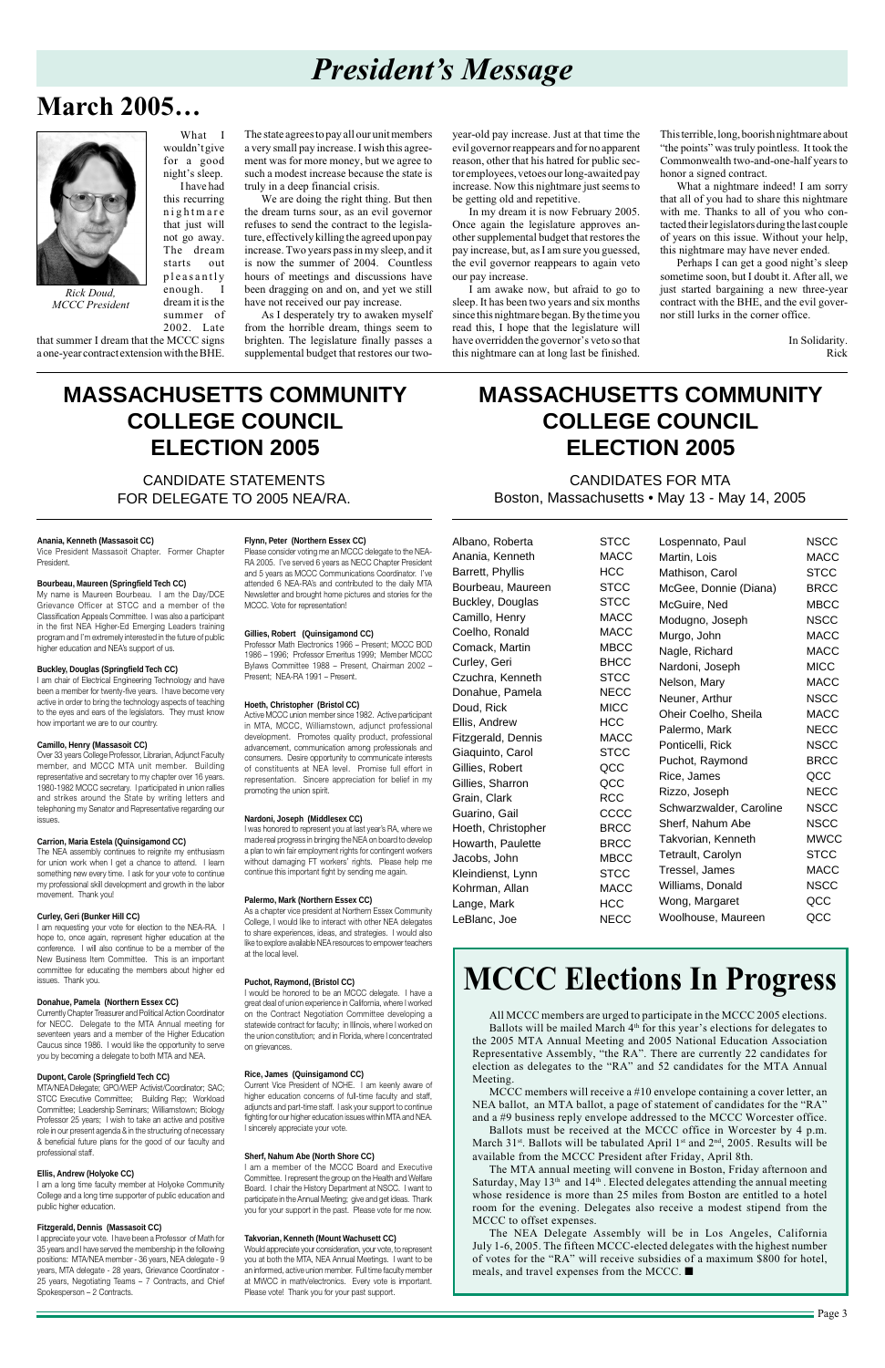Page 3

### **March 2005…**

# *President's Message*

What I wouldn't give for a good night's sleep. I have had this recurring nightmare that just will not go away. The dream starts out pleasantly enough. I dream it is the summer of

2002. Late that summer I dream that the MCCC signs a one-year contract extension with the BHE.

The state agrees to pay all our unit members a very small pay increase. I wish this agreement was for more money, but we agree to such a modest increase because the state is truly in a deep financial crisis.

We are doing the right thing. But then the dream turns sour, as an evil governor refuses to send the contract to the legislature, effectively killing the agreed upon pay increase. Two years pass in my sleep, and it is now the summer of 2004. Countless hours of meetings and discussions have been dragging on and on, and yet we still have not received our pay increase.

As I desperately try to awaken myself from the horrible dream, things seem to brighten. The legislature finally passes a supplemental budget that restores our two-



*Rick Doud, MCCC President*

year-old pay increase. Just at that time the evil governor reappears and for no apparent reason, other that his hatred for public sector employees, vetoes our long-awaited pay increase. Now this nightmare just seems to be getting old and repetitive.

In my dream it is now February 2005. Once again the legislature approves another supplemental budget that restores the pay increase, but, as I am sure you guessed, the evil governor reappears to again veto our pay increase.

I am awake now, but afraid to go to sleep. It has been two years and six months since this nightmare began. By the time you read this, I hope that the legislature will have overridden the governor's veto so that this nightmare can at long last be finished.

Albano, Roberta STCC

This terrible, long, boorish nightmare about "the points" was truly pointless. It took the Commonwealth two-and-one-half years to honor a signed contract.

What a nightmare indeed! I am sorry that all of you had to share this nightmare with me. Thanks to all of you who contacted their legislators during the last couple of years on this issue. Without your help, this nightmare may have never ended.

Perhaps I can get a good night's sleep sometime soon, but I doubt it. After all, we just started bargaining a new three-year contract with the BHE, and the evil governor still lurks in the corner office.

> In Solidarity. Rick

#### **Anania, Kenneth (Massasoit CC)**

Vice President Massasoit Chapter. Former Chapter President.

#### **Bourbeau, Maureen (Springfield Tech CC)**

My name is Maureen Bourbeau. I am the Day/DCE Grievance Officer at STCC and a member of the Classification Appeals Committee. I was also a participant in the first NEA Higher-Ed Emerging Leaders training program and I'm extremely interested in the future of public higher education and NEA's support of us.

#### **Buckley, Douglas (Springfield Tech CC)**

I am chair of Electrical Engineering Technology and have been a member for twenty-five years. I have become very active in order to bring the technology aspects of teaching to the eyes and ears of the legislators. They must know how important we are to our country.

#### **Camillo, Henry (Massasoit CC)**

Over 33 years College Professor, Librarian, Adjunct Faculty member, and MCCC MTA unit member. Building representative and secretary to my chapter over 16 years. 1980-1982 MCCC secretary. I participated in union rallies and strikes around the State by writing letters and telephoning my Senator and Representative regarding our issues.

#### **Carrion, Maria Estela (Quinsigamond CC)**

The NEA assembly continues to reignite my enthusiasm for union work when I get a chance to attend. I learn something new every time. I ask for your vote to continue my professional skill development and growth in the labor movement. Thank you!

#### **Curley, Geri (Bunker Hill CC)**

I am requesting your vote for election to the NEA-RA. I hope to, once again, represent higher education at the conference. I will also continue to be a member of the New Business Item Committee. This is an important committee for educating the members about higher ed issues. Thank you.

#### **Donahue, Pamela (Northern Essex CC)**

Anania, Kenneth MACC Barrett, Phyllis HCC Bourbeau, Maureen STCC Buckley, Douglas STCC Camillo, Henry MACC Coelho, Ronald MACC Comack, Martin MBCC Curley, Geri BHCC Czuchra, Kenneth STCC Donahue, Pamela NECC Doud, Rick MICC Ellis, Andrew HCC Fitzgerald, Dennis MACC Giaquinto, Carol **STCC** Gillies, Robert QCC Gillies, Sharron QCC Grain, Clark RCC Guarino, Gail CCCC Hoeth, Christopher BRCC Howarth, Paulette BRCC Jacobs, John MBCC Kleindienst, Lynn STCC Kohrman, Allan MACC Lange, Mark **HCC** LeBlanc, Joe NECC

Currently Chapter Treasurer and Political Action Coordinator for NECC. Delegate to the MTA Annual meeting for seventeen years and a member of the Higher Education Caucus since 1986. I would like the opportunity to serve you by becoming a delegate to both MTA and NEA.

#### **Dupont, Carole (Springfield Tech CC)**

MTA/NEA Delegate; GPO/WEP Activist/Coordinator; SAC; STCC Executive Committee; Building Rep; Workload Committee; Leadership Seminars; Williamstown; Biology Professor 25 years; I wish to take an active and positive role in our present agenda & in the structuring of necessary & beneficial future plans for the good of our faculty and professional staff.

#### **Ellis, Andrew (Holyoke CC)**

I am a long time faculty member at Holyoke Community College and a long time supporter of public education and public higher education.

#### **Fitzgerald, Dennis (Massasoit CC)**

I appreciate your vote. I have been a Professor of Math for 35 years and I have served the membership in the following positions: MTA/NEA member - 36 years, NEA delegate - 9 years, MTA delegate - 28 years, Grievance Coordinator - 25 years, Negotiating Teams – 7 Contracts, and Chief Spokesperson – 2 Contracts.

#### **Flynn, Peter (Northern Essex CC)**

Please consider voting me an MCCC delegate to the NEA-RA 2005. I've served 6 years as NECC Chapter President and 5 years as MCCC Communications Coordinator. I've attended 6 NEA-RA's and contributed to the daily MTA Newsletter and brought home pictures and stories for the MCCC. Vote for representation!

#### **Gillies, Robert (Quinsigamond CC)**

Professor Math Electronics 1966 – Present; MCCC BOD 1986 – 1996; Professor Emeritus 1999; Member MCCC Bylaws Committee 1988 – Present, Chairman 2002 – Present; NEA-RA 1991 – Present.

#### **Hoeth, Christopher (Bristol CC)**

Active MCCC union member since 1982. Active participant in MTA, MCCC, Williamstown, adjunct professional development. Promotes quality product, professional advancement, communication among professionals and consumers. Desire opportunity to communicate interests of constituents at NEA level. Promise full effort in representation. Sincere appreciation for belief in my promoting the union spirit.

#### **Nardoni, Joseph (Middlesex CC)**

I was honored to represent you at last year's RA, where we made real progress in bringing the NEA on board to develop a plan to win fair employment rights for contingent workers without damaging FT workers' rights. Please help me continue this important fight by sending me again.

#### **Palermo, Mark (Northern Essex CC)**

As a chapter vice president at Northern Essex Community College, I would like to interact with other NEA delegates to share experiences, ideas, and strategies. I would also like to explore available NEA resources to empower teachers at the local level.

#### **Puchot, Raymond, (Bristol CC)**

I would be honored to be an MCCC delegate. I have a great deal of union experience in California, where I worked

on the Contract Negotiation Committee developing a statewide contract for faculty; in Illinois, where I worked on the union constitution; and in Florida, where I concentrated on grievances.

#### **Rice, James (Quinsigamond CC)**

Current Vice President of NCHE. I am keenly aware of higher education concerns of full-time faculty and staff, adjuncts and part-time staff. I ask your support to continue fighting for our higher education issues within MTA and NEA. I sincerely appreciate your vote.

#### **Sherf, Nahum Abe (North Shore CC)**

I am a member of the MCCC Board and Executive Committee. I represent the group on the Health and Welfare Board. I chair the History Department at NSCC. I want to participate in the Annual Meeting; give and get ideas. Thank you for your support in the past. Please vote for me now.

#### **Takvorian, Kenneth (Mount Wachusett CC)**

Would appreciate your consideration, your vote, to represent you at both the MTA, NEA Annual Meetings. I want to be an informed, active union member. Full time faculty member at MWCC in math/electronics. Every vote is important. Please vote! Thank you for your past support.

CANDIDATE STATEMENTS FOR DELEGATE TO 2005 NEA/RA.

### **MASSACHUSETTS COMMUNITY COLLEGE COUNCIL ELECTION 2005**

CANDIDATES FOR MTA Boston, Massachusetts • May 13 - May 14, 2005

### **MASSACHUSETTS COMMUNITY COLLEGE COUNCIL ELECTION 2005**

| Lospennato, Paul        | <b>NSCC</b> |
|-------------------------|-------------|
| Martin, Lois            | <b>MACC</b> |
| Mathison, Carol         | <b>STCC</b> |
| McGee, Donnie (Diana)   | <b>BRCC</b> |
| McGuire, Ned            | <b>MBCC</b> |
| Modugno, Joseph         | <b>NSCC</b> |
| Murgo, John             | <b>MACC</b> |
| Nagle, Richard          | <b>MACC</b> |
| Nardoni, Joseph         | <b>MICC</b> |
| Nelson, Mary            | <b>MACC</b> |
| Neuner, Arthur          | <b>NSCC</b> |
| Oheir Coelho, Sheila    | <b>MACC</b> |
| Palermo, Mark           | <b>NECC</b> |
| Ponticelli, Rick        | <b>NSCC</b> |
| Puchot, Raymond         | <b>BRCC</b> |
| Rice, James             | QCC         |
| Rizzo, Joseph           | <b>NECC</b> |
| Schwarzwalder, Caroline | <b>NSCC</b> |
| Sherf, Nahum Abe        | <b>NSCC</b> |
| Takvorian, Kenneth      | <b>MWCC</b> |
| Tetrault, Carolyn       | <b>STCC</b> |
| Tressel, James          | <b>MACC</b> |
| Williams, Donald        | <b>NSCC</b> |
| Wong, Margaret          | QCC         |
| Woolhouse, Maureen      | QCC         |

# **MCCC Elections In Progress**

All MCCC members are urged to participate in the MCCC 2005 elections. Ballots will be mailed March 4<sup>th</sup> for this year's elections for delegates to the 2005 MTA Annual Meeting and 2005 National Education Association Representative Assembly, "the RA". There are currently 22 candidates for election as delegates to the "RA" and 52 candidates for the MTA Annual Meeting.

MCCC members will receive a #10 envelope containing a cover letter, an NEA ballot, an MTA ballot, a page of statement of candidates for the "RA" and a #9 business reply envelope addressed to the MCCC Worcester office.

Ballots must be received at the MCCC office in Worcester by 4 p.m. March 31<sup>st</sup>. Ballots will be tabulated April 1<sup>st</sup> and 2<sup>nd</sup>, 2005. Results will be available from the MCCC President after Friday, April 8th.

The MTA annual meeting will convene in Boston, Friday afternoon and Saturday, May  $13<sup>th</sup>$  and  $14<sup>th</sup>$ . Elected delegates attending the annual meeting whose residence is more than 25 miles from Boston are entitled to a hotel room for the evening. Delegates also receive a modest stipend from the MCCC to offset expenses.

The NEA Delegate Assembly will be in Los Angeles, California July 1-6, 2005. The fifteen MCCC-elected delegates with the highest number of votes for the "RA" will receive subsidies of a maximum \$800 for hotel, meals, and travel expenses from the MCCC. ■